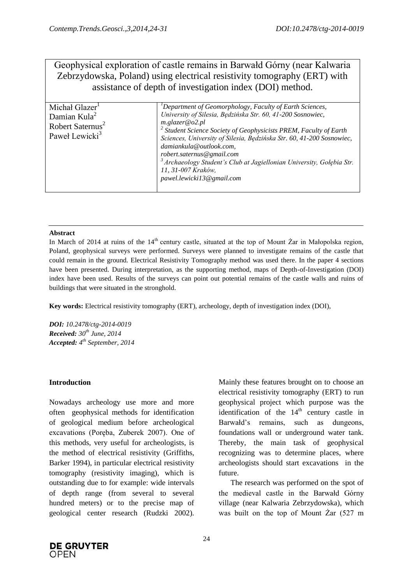# Geophysical exploration of castle remains in Barwałd Górny (near Kalwaria Zebrzydowska, Poland) using electrical resistivity tomography (ERT) with assistance of depth of investigation index (DOI) method.

| Michał Glazer <sup>1</sup><br>Damian Kula <sup>2</sup><br>Robert Saternus <sup>2</sup><br>Paweł Lewicki <sup>3</sup> | $P$ Department of Geomorphology, Faculty of Earth Sciences,<br>University of Silesia, Będzińska Str. 60, 41-200 Sosnowiec,<br>$m$ .glazer@o2.pl<br><sup>2</sup> Student Science Society of Geophysicists PREM, Faculty of Earth<br>Sciences, University of Silesia, Będzińska Str. 60, 41-200 Sosnowiec,<br>damiankula@outlook.com,<br>robert.saternus@gmail.com<br><sup>3</sup> Archaeology Student's Club at Jagiellonian University, Golębia Str.<br>11, 31-007 Kraków,<br>pawel.lewicki13@gmail.com |
|----------------------------------------------------------------------------------------------------------------------|---------------------------------------------------------------------------------------------------------------------------------------------------------------------------------------------------------------------------------------------------------------------------------------------------------------------------------------------------------------------------------------------------------------------------------------------------------------------------------------------------------|

## **Abstract**

In March of 2014 at ruins of the  $14<sup>th</sup>$  century castle, situated at the top of Mount  $\overline{Z}$ ar in Małopolska region, Poland, geophysical surveys were performed. Surveys were planned to investigate remains of the castle that could remain in the ground. Electrical Resistivity Tomography method was used there. In the paper 4 sections have been presented. During interpretation, as the supporting method, maps of Depth-of-Investigation (DOI) index have been used. Results of the surveys can point out potential remains of the castle walls and ruins of buildings that were situated in the stronghold.

**Key words:** Electrical resistivity tomography (ERT), archeology, depth of investigation index (DOI),

*DOI: 10.2478/ctg-2014-0019 Received: 30th June, 2014 Accepted: 4 th September, 2014*

# **Introduction**

Nowadays archeology use more and more often geophysical methods for identification of geological medium before archeological excavations (Poręba, Zuberek 2007). One of this methods, very useful for archeologists, is the method of electrical resistivity (Griffiths, Barker 1994), in particular electrical resistivity tomography (resistivity imaging), which is outstanding due to for example: wide intervals of depth range (from several to several hundred meters) or to the precise map of geological center research (Rudzki 2002). Mainly these features brought on to choose an electrical resistivity tomography (ERT) to run geophysical project which purpose was the identification of the  $14<sup>th</sup>$  century castle in Barwałd's remains, such as dungeons, foundations wall or underground water tank. Thereby, the main task of geophysical recognizing was to determine places, where archeologists should start excavations in the future.

The research was performed on the spot of the medieval castle in the Barwałd Górny village (near Kalwaria Zebrzydowska), which was built on the top of Mount Żar (527 m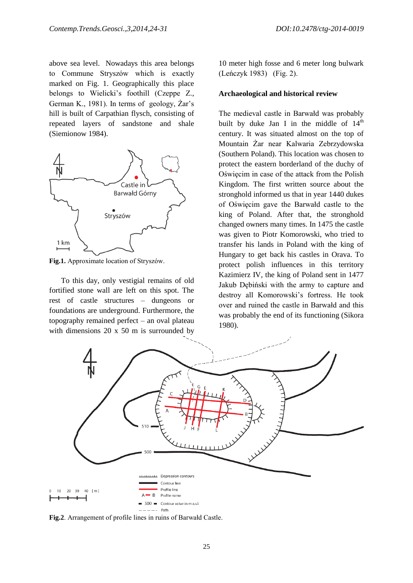above sea level. Nowadays this area belongs to Commune Stryszów which is exactly marked on Fig. 1. Geographically this place belongs to Wielicki's foothill (Czeppe Z., German K., 1981). In terms of geology, Żar's hill is built of Carpathian flysch, consisting of repeated layers of sandstone and shale (Siemionow 1984).



**Fig.1.** Approximate location of Stryszów.

To this day, only vestigial remains of old fortified stone wall are left on this spot. The rest of castle structures – dungeons or foundations are underground. Furthermore, the topography remained perfect – an oval plateau with dimensions 20 x 50 m is surrounded by

10 meter high fosse and 6 meter long bulwark (Leńczyk 1983) (Fig. 2).

#### **Archaeological and historical review**

The medieval castle in Barwałd was probably built by duke Jan I in the middle of  $14<sup>th</sup>$ century. It was situated almost on the top of Mountain Żar near Kalwaria Zebrzydowska (Southern Poland). This location was chosen to protect the eastern borderland of the duchy of Oświęcim in case of the attack from the Polish Kingdom. The first written source about the stronghold informed us that in year 1440 dukes of Oświęcim gave the Barwałd castle to the king of Poland. After that, the stronghold changed owners many times. In 1475 the castle was given to Piotr Komorowski, who tried to transfer his lands in Poland with the king of Hungary to get back his castles in Orava. To protect polish influences in this territory Kazimierz IV, the king of Poland sent in 1477 Jakub Dębiński with the army to capture and destroy all Komorowski's fortress. He took over and ruined the castle in Barwałd and this was probably the end of its functioning (Sikora 1980).



**Fig.2**. Arrangement of profile lines in ruins of Barwałd Castle.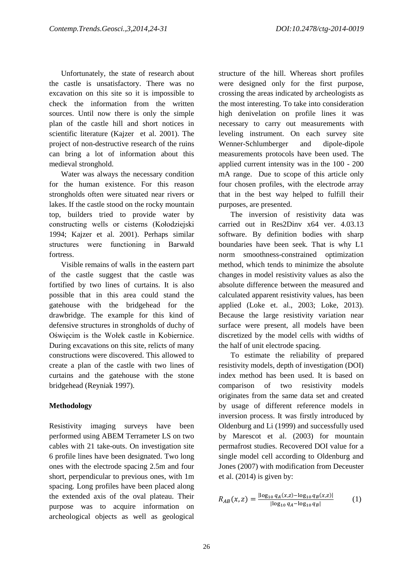Unfortunately, the state of research about the castle is unsatisfactory. There was no excavation on this site so it is impossible to check the information from the written sources. Until now there is only the simple plan of the castle hill and short notices in scientific literature (Kajzer et al. 2001). The project of non-destructive research of the ruins can bring a lot of information about this medieval stronghold.

Water was always the necessary condition for the human existence. For this reason strongholds often were situated near rivers or lakes. If the castle stood on the rocky mountain top, builders tried to provide water by constructing wells or cisterns (Kołodziejski 1994; Kajzer et al. 2001). Perhaps similar structures were functioning in Barwałd fortress.

Visible remains of walls in the eastern part of the castle suggest that the castle was fortified by two lines of curtains. It is also possible that in this area could stand the gatehouse with the bridgehead for the drawbridge. The example for this kind of defensive structures in strongholds of duchy of Oświęcim is the Wołek castle in Kobiernice. During excavations on this site, relicts of many constructions were discovered. This allowed to create a plan of the castle with two lines of curtains and the gatehouse with the stone bridgehead (Reyniak 1997).

# **Methodology**

Resistivity imaging surveys have been performed using ABEM Terrameter LS on two cables with 21 take-outs. On investigation site 6 profile lines have been designated. Two long ones with the electrode spacing 2.5m and four short, perpendicular to previous ones, with 1m spacing. Long profiles have been placed along the extended axis of the oval plateau. Their purpose was to acquire information on archeological objects as well as geological

structure of the hill. Whereas short profiles were designed only for the first purpose, crossing the areas indicated by archeologists as the most interesting. To take into consideration high denivelation on profile lines it was necessary to carry out measurements with leveling instrument. On each survey site Wenner-Schlumberger and dipole-dipole measurements protocols have been used. The applied current intensity was in the 100 - 200 mA range. Due to scope of this article only four chosen profiles, with the electrode array that in the best way helped to fulfill their purposes, are presented.

The inversion of resistivity data was carried out in Res2Dinv x64 ver. 4.03.13 software. By definition bodies with sharp boundaries have been seek. That is why L1 norm smoothness-constrained optimization method, which tends to minimize the absolute changes in model resistivity values as also the absolute difference between the measured and calculated apparent resistivity values, has been applied (Loke et. al., 2003; Loke, 2013). Because the large resistivity variation near surface were present, all models have been discretized by the model cells with widths of the half of unit electrode spacing.

To estimate the reliability of prepared resistivity models, depth of investigation (DOI) index method has been used. It is based on comparison of two resistivity models originates from the same data set and created by usage of different reference models in inversion process. It was firstly introduced by Oldenburg and Li (1999) and successfully used by Marescot et al. (2003) for mountain permafrost studies. Recovered DOI value for a single model cell according to Oldenburg and Jones (2007) with modification from Deceuster et al. (2014) is given by:

$$
R_{AB}(x,z) = \frac{|\log_{10} q_A(x,z) - \log_{10} q_B(x,z)|}{|\log_{10} q_A - \log_{10} q_B|}
$$
(1)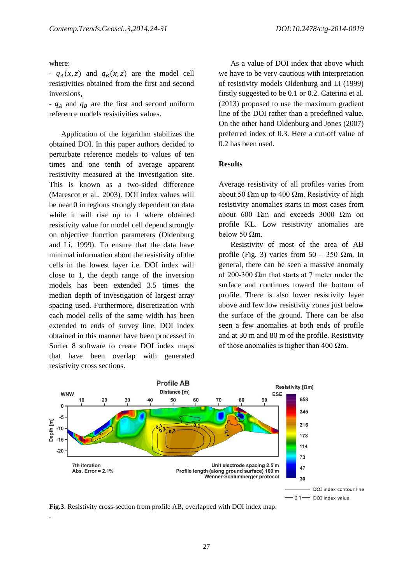where:

.

-  $q_A(x, z)$  and  $q_B(x, z)$  are the model cell resistivities obtained from the first and second inversions,

-  $q_A$  and  $q_B$  are the first and second uniform reference models resistivities values.

Application of the logarithm stabilizes the obtained DOI. In this paper authors decided to perturbate reference models to values of ten times and one tenth of average apparent resistivity measured at the investigation site. This is known as a two-sided difference (Marescot et al., 2003). DOI index values will be near 0 in regions strongly dependent on data while it will rise up to 1 where obtained resistivity value for model cell depend strongly on objective function parameters (Oldenburg and Li, 1999). To ensure that the data have minimal information about the resistivity of the cells in the lowest layer i.e. DOI index will close to 1, the depth range of the inversion models has been extended 3.5 times the median depth of investigation of largest array spacing used. Furthermore, discretization with each model cells of the same width has been extended to ends of survey line. DOI index obtained in this manner have been processed in Surfer 8 software to create DOI index maps that have been overlap with generated resistivity cross sections.

As a value of DOI index that above which we have to be very cautious with interpretation of resistivity models Oldenburg and Li (1999) firstly suggested to be 0.1 or 0.2. Caterina et al. (2013) proposed to use the maximum gradient line of the DOI rather than a predefined value. On the other hand Oldenburg and Jones (2007) preferred index of 0.3. Here a cut-off value of 0.2 has been used.

## **Results**

Average resistivity of all profiles varies from about 50  $\Omega$ m up to 400  $\Omega$ m. Resistivity of high resistivity anomalies starts in most cases from about 600 Ωm and exceeds 3000 Ωm on profile KL. Low resistivity anomalies are below 50 Ωm.

Resistivity of most of the area of AB profile (Fig. 3) varies from  $50 - 350$   $\Omega$ m. In general, there can be seen a massive anomaly of 200-300 Ωm that starts at 7 meter under the surface and continues toward the bottom of profile. There is also lower resistivity layer above and few low resistivity zones just below the surface of the ground. There can be also seen a few anomalies at both ends of profile and at 30 m and 80 m of the profile. Resistivity of those anomalies is higher than 400  $\Omega$ m.



**Fig.3**. Resistivity cross-section from profile AB, overlapped with DOI index map.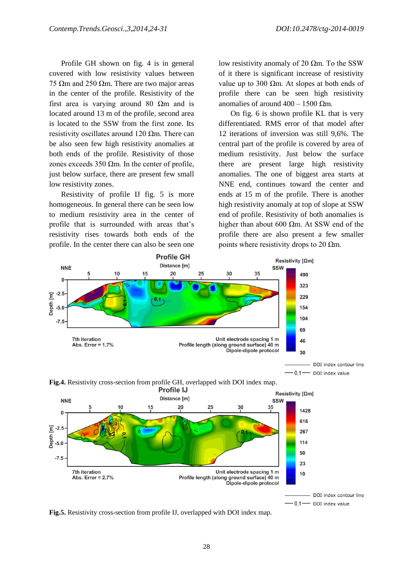Profile GH shown on fig. 4 is in general covered with low resistivity values between 75 Ωm and 250 Ωm. There are two major areas in the center of the profile. Resistivity of the first area is varying around 80  $\Omega$ m and is located around 13 m of the profile, second area is located to the SSW from the first zone. Its resistivity oscillates around 120  $\Omega$ m. There can be also seen few high resistivity anomalies at both ends of the profile. Resistivity of those zones exceeds 350  $\Omega$ m. In the center of profile, just below surface, there are present few small low resistivity zones.

Resistivity of profile IJ fig. 5 is more homogeneous. In general there can be seen low to medium resistivity area in the center of profile that is surrounded with areas that's resistivity rises towards both ends of the profile. In the center there can also be seen one

low resistivity anomaly of 20 Ωm. To the SSW of it there is significant increase of resistivity value up to 300 Ωm. At slopes at both ends of profile there can be seen high resistivity anomalies of around  $400 - 1500$  Ωm.

On fig. 6 is shown profile KL that is very differentiated. RMS error of that model after 12 iterations of inversion was still 9,6%. The central part of the profile is covered by area of medium resistivity. Just below the surface there are present large high resistivity anomalies. The one of biggest area starts at NNE end, continues toward the center and ends at 15 m of the profile. There is another high resistivity anomaly at top of slope at SSW end of profile. Resistivity of both anomalies is higher than about 600 Ωm. At SSW end of the profile there are also present a few smaller points where resistivity drops to 20  $\Omega$ m.



**Fig.4.** Resistivity cross-section from profile GH, overlapped with DOI index map.



 $0,1$  OOI index value

**Fig.5.** Resistivity cross-section from profile IJ, overlapped with DOI index map.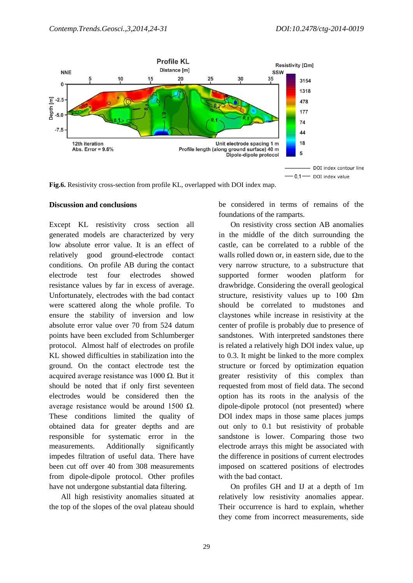

**Fig.6.** Resistivity cross-section from profile KL, overlapped with DOI index map.

#### **Discussion and conclusions**

Except KL resistivity cross section all generated models are characterized by very low absolute error value. It is an effect of relatively good ground-electrode contact conditions. On profile AB during the contact electrode test four electrodes showed resistance values by far in excess of average. Unfortunately, electrodes with the bad contact were scattered along the whole profile. To ensure the stability of inversion and low absolute error value over 70 from 524 datum points have been excluded from Schlumberger protocol. Almost half of electrodes on profile KL showed difficulties in stabilization into the ground. On the contact electrode test the acquired average resistance was 1000 Ω. But it should be noted that if only first seventeen electrodes would be considered then the average resistance would be around 1500  $Ω$ . These conditions limited the quality of obtained data for greater depths and are responsible for systematic error in the measurements. Additionally significantly impedes filtration of useful data. There have been cut off over 40 from 308 measurements from dipole-dipole protocol. Other profiles have not undergone substantial data filtering.

All high resistivity anomalies situated at the top of the slopes of the oval plateau should

be considered in terms of remains of the foundations of the ramparts.

On resistivity cross section AB anomalies in the middle of the ditch surrounding the castle, can be correlated to a rubble of the walls rolled down or, in eastern side, due to the very narrow structure, to a substructure that supported former wooden platform for drawbridge. Considering the overall geological structure, resistivity values up to 100  $\Omega$ m should be correlated to mudstones and claystones while increase in resistivity at the center of profile is probably due to presence of sandstones. With interpreted sandstones there is related a relatively high DOI index value, up to 0.3. It might be linked to the more complex structure or forced by optimization equation greater resistivity of this complex than requested from most of field data. The second option has its roots in the analysis of the dipole-dipole protocol (not presented) where DOI index maps in those same places jumps out only to 0.1 but resistivity of probable sandstone is lower. Comparing those two electrode arrays this might be associated with the difference in positions of current electrodes imposed on scattered positions of electrodes with the bad contact.

On profiles GH and IJ at a depth of 1m relatively low resistivity anomalies appear. Their occurrence is hard to explain, whether they come from incorrect measurements, side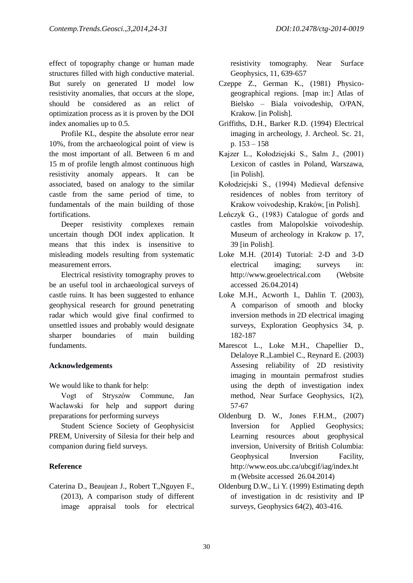effect of topography change or human made structures filled with high conductive material. But surely on generated IJ model low resistivity anomalies, that occurs at the slope, should be considered as an relict of optimization process as it is proven by the DOI index anomalies up to 0.5.

Profile KL, despite the absolute error near 10%, from the archaeological point of view is the most important of all. Between 6 m and 15 m of profile length almost continuous high resistivity anomaly appears. It can be associated, based on analogy to the similar castle from the same period of time, to fundamentals of the main building of those fortifications.

Deeper resistivity complexes remain uncertain though DOI index application. It means that this index is insensitive to misleading models resulting from systematic measurement errors.

Electrical resistivity tomography proves to be an useful tool in archaeological surveys of castle ruins. It has been suggested to enhance geophysical research for ground penetrating radar which would give final confirmed to unsettled issues and probably would designate sharper boundaries of main building fundaments.

## **Acknowledgements**

We would like to thank for help:

Vogt of Stryszów Commune, Jan Wacławski for help and support during preparations for performing surveys

Student Science Society of Geophysicist PREM, University of Silesia for their help and companion during field surveys.

# **Reference**

Caterina D., Beaujean J., Robert T.,Nguyen F., (2013), A comparison study of different image appraisal tools for electrical resistivity tomography. Near Surface Geophysics, 11, 639-657

- Czeppe Z., German K., (1981) Physicogeographical regions. [map in:] Atlas of Bielsko – Biala voivodeship, O/PAN, Krakow. [in Polish].
- Griffiths, D.H., Barker R.D. (1994) Electrical imaging in archeology, J. Archeol. Sc. 21, p. 153 – 158
- Kajzer L., Kołodziejski S., Salm J., (2001) Lexicon of castles in Poland, Warszawa, [in Polish].
- Kołodziejski S., (1994) Medieval defensive residences of nobles from territory of Krakow voivodeship, Kraków, [in Polish].
- Leńczyk G., (1983) Catalogue of gords and castles from Malopolskie voivodeship. Museum of archeology in Krakow p. 17, 39 [in Polish].
- Loke M.H. (2014) Tutorial: 2-D and 3-D electrical imaging; surveys in: http://www.geoelectrical.com (Website accessed 26.04.2014)
- Loke M.H., Acworth I., Dahlin T. (2003), A comparison of smooth and blocky inversion methods in 2D electrical imaging surveys, Exploration Geophysics 34, p. 182-187
- Marescot L., Loke M.H., Chapellier D., Delaloye R.,Lambiel C., Reynard E. (2003) Assesing reliability of 2D resistivity imaging in mountain permafrost studies using the depth of investigation index method, Near Surface Geophysics, 1(2), 57-67
- Oldenburg D. W., Jones F.H.M., (2007) Inversion for Applied Geophysics; Learning resources about geophysical inversion, University of British Columbia: Geophysical Inversion Facility, http://www.eos.ubc.ca/ubcgif/iag/index.ht m (Website accessed 26.04.2014)
- Oldenburg D.W., Li Y. (1999) Estimating depth of investigation in dc resistivity and IP surveys, Geophysics 64(2), 403-416.